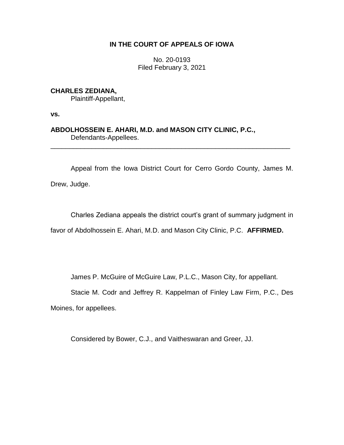## **IN THE COURT OF APPEALS OF IOWA**

No. 20-0193 Filed February 3, 2021

**CHARLES ZEDIANA,** Plaintiff-Appellant,

**vs.**

**ABDOLHOSSEIN E. AHARI, M.D. and MASON CITY CLINIC, P.C.,** Defendants-Appellees.

Appeal from the Iowa District Court for Cerro Gordo County, James M.

\_\_\_\_\_\_\_\_\_\_\_\_\_\_\_\_\_\_\_\_\_\_\_\_\_\_\_\_\_\_\_\_\_\_\_\_\_\_\_\_\_\_\_\_\_\_\_\_\_\_\_\_\_\_\_\_\_\_\_\_\_\_\_\_

Drew, Judge.

Charles Zediana appeals the district court's grant of summary judgment in

favor of Abdolhossein E. Ahari, M.D. and Mason City Clinic, P.C. **AFFIRMED.**

James P. McGuire of McGuire Law, P.L.C., Mason City, for appellant.

Stacie M. Codr and Jeffrey R. Kappelman of Finley Law Firm, P.C., Des

Moines, for appellees.

Considered by Bower, C.J., and Vaitheswaran and Greer, JJ.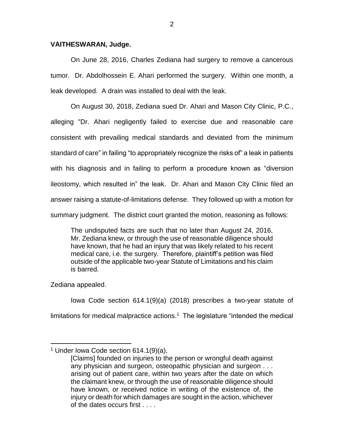## **VAITHESWARAN, Judge.**

On June 28, 2016, Charles Zediana had surgery to remove a cancerous tumor. Dr. Abdolhossein E. Ahari performed the surgery. Within one month, a leak developed. A drain was installed to deal with the leak.

On August 30, 2018, Zediana sued Dr. Ahari and Mason City Clinic, P.C., alleging "Dr. Ahari negligently failed to exercise due and reasonable care consistent with prevailing medical standards and deviated from the minimum standard of care" in failing "to appropriately recognize the risks of" a leak in patients with his diagnosis and in failing to perform a procedure known as "diversion ileostomy, which resulted in" the leak. Dr. Ahari and Mason City Clinic filed an answer raising a statute-of-limitations defense. They followed up with a motion for summary judgment. The district court granted the motion, reasoning as follows:

The undisputed facts are such that no later than August 24, 2016, Mr. Zediana knew, or through the use of reasonable diligence should have known, that he had an injury that was likely related to his recent medical care, i.e. the surgery. Therefore, plaintiff's petition was filed outside of the applicable two-year Statute of Limitations and his claim is barred.

Zediana appealed.

 $\overline{a}$ 

Iowa Code section 614.1(9)(a) (2018) prescribes a two-year statute of limitations for medical malpractice actions. <sup>1</sup> The legislature "intended the medical

<sup>&</sup>lt;sup>1</sup> Under Iowa Code section  $614.1(9)(a)$ ,

<sup>[</sup>Claims] founded on injuries to the person or wrongful death against any physician and surgeon, osteopathic physician and surgeon . . . arising out of patient care, within two years after the date on which the claimant knew, or through the use of reasonable diligence should have known, or received notice in writing of the existence of, the injury or death for which damages are sought in the action, whichever of the dates occurs first . . . .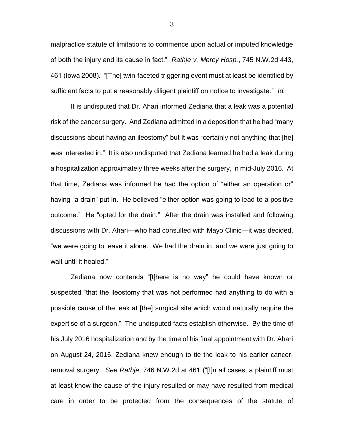malpractice statute of limitations to commence upon actual or imputed knowledge of both the injury and its cause in fact." *Rathje v. Mercy Hosp.*, 745 N.W.2d 443, 461 (Iowa 2008). "[The] twin-faceted triggering event must at least be identified by sufficient facts to put a reasonably diligent plaintiff on notice to investigate." *Id.*

It is undisputed that Dr. Ahari informed Zediana that a leak was a potential risk of the cancer surgery. And Zediana admitted in a deposition that he had "many discussions about having an ileostomy" but it was "certainly not anything that [he] was interested in." It is also undisputed that Zediana learned he had a leak during a hospitalization approximately three weeks after the surgery, in mid-July 2016. At that time, Zediana was informed he had the option of "either an operation or" having "a drain" put in. He believed "either option was going to lead to a positive outcome." He "opted for the drain." After the drain was installed and following discussions with Dr. Ahari—who had consulted with Mayo Clinic—it was decided, "we were going to leave it alone. We had the drain in, and we were just going to wait until it healed."

Zediana now contends "[t]here is no way" he could have known or suspected "that the ileostomy that was not performed had anything to do with a possible cause of the leak at [the] surgical site which would naturally require the expertise of a surgeon." The undisputed facts establish otherwise. By the time of his July 2016 hospitalization and by the time of his final appointment with Dr. Ahari on August 24, 2016, Zediana knew enough to tie the leak to his earlier cancerremoval surgery. *See Rathje*, 746 N.W.2d at 461 ("[I]n all cases, a plaintiff must at least know the cause of the injury resulted or may have resulted from medical care in order to be protected from the consequences of the statute of

3